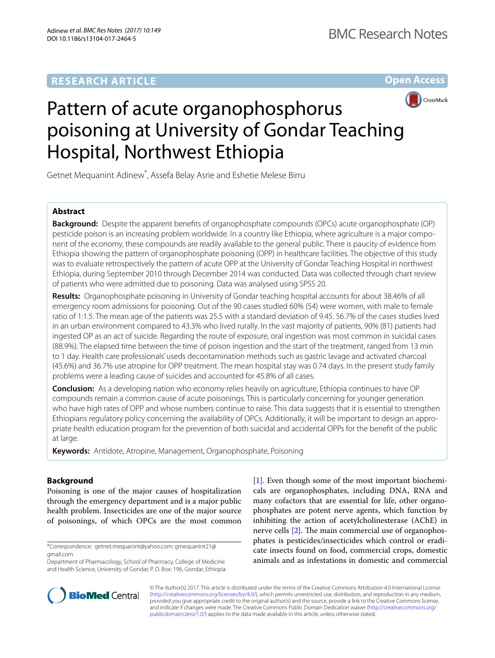# **RESEARCH ARTICLE**

**Open Access**



# Pattern of acute organophosphorus poisoning at University of Gondar Teaching Hospital, Northwest Ethiopia

Getnet Mequanint Adinew<sup>\*</sup>, Assefa Belay Asrie and Eshetie Melese Birru

# **Abstract**

**Background:** Despite the apparent benefts of organophosphate compounds (OPCs) acute organophosphate (OP) pesticide poison is an increasing problem worldwide. In a country like Ethiopia, where agriculture is a major component of the economy, these compounds are readily available to the general public. There is paucity of evidence from Ethiopia showing the pattern of organophosphate poisoning (OPP) in healthcare facilities. The objective of this study was to evaluate retrospectively the pattern of acute OPP at the University of Gondar Teaching Hospital in northwest Ethiopia, during September 2010 through December 2014 was conducted. Data was collected through chart review of patients who were admitted due to poisoning. Data was analysed using SPSS 20.

**Results:** Organophosphate poisoning in University of Gondar teaching hospital accounts for about 38.46% of all emergency room admissions for poisoning. Out of the 90 cases studied 60% (54) were women, with male to female ratio of 1:1.5. The mean age of the patients was 25.5 with a standard deviation of 9.45. 56.7% of the cases studies lived in an urban environment compared to 43.3% who lived rurally. In the vast majority of patients, 90% (81) patients had ingested OP as an act of suicide. Regarding the route of exposure, oral ingestion was most common in suicidal cases (88.9%). The elapsed time between the time of poison ingestion and the start of the treatment, ranged from 13 min to 1 day. Health care professionals' useds decontamination methods such as gastric lavage and activated charcoal (45.6%) and 36.7% use atropine for OPP treatment. The mean hospital stay was 0.74 days. In the present study family problems were a leading cause of suicides and accounted for 45.8% of all cases.

**Conclusion:** As a developing nation who economy relies heavily on agriculture, Ethiopia continues to have OP compounds remain a common cause of acute poisonings. This is particularly concerning for younger generation who have high rates of OPP and whose numbers continue to raise. This data suggests that it is essential to strengthen Ethiopians regulatory policy concerning the availability of OPCs. Additionally, it will be important to design an appropriate health education program for the prevention of both suicidal and accidental OPPs for the beneft of the public at large.

**Keywords:** Antidote, Atropine, Management, Organophosphate, Poisoning

# **Background**

Poisoning is one of the major causes of hospitalization through the emergency department and is a major public health problem. Insecticides are one of the major source of poisonings, of which OPCs are the most common

\*Correspondence: getnet.mequanint@yahoo.com; gmequanint21@ gmail.com

Department of Pharmacology, School of Pharmacy, College of Medicine and Health Science, University of Gondar, P. O. Box: 196, Gondar, Ethiopia [[1\]](#page-5-0). Even though some of the most important biochemicals are organophosphates, including DNA, RNA and many cofactors that are essential for life, other organophosphates are potent nerve agents, which function by inhibiting the action of acetylcholinesterase (AChE) in nerve cells  $[2]$  $[2]$ . The main commercial use of organophosphates is pesticides/insecticides which control or eradicate insects found on food, commercial crops, domestic animals and as infestations in domestic and commercial



© The Author(s) 2017. This article is distributed under the terms of the Creative Commons Attribution 4.0 International License [\(http://creativecommons.org/licenses/by/4.0/\)](http://creativecommons.org/licenses/by/4.0/), which permits unrestricted use, distribution, and reproduction in any medium, provided you give appropriate credit to the original author(s) and the source, provide a link to the Creative Commons license, and indicate if changes were made. The Creative Commons Public Domain Dedication waiver ([http://creativecommons.org/](http://creativecommons.org/publicdomain/zero/1.0/) [publicdomain/zero/1.0/](http://creativecommons.org/publicdomain/zero/1.0/)) applies to the data made available in this article, unless otherwise stated.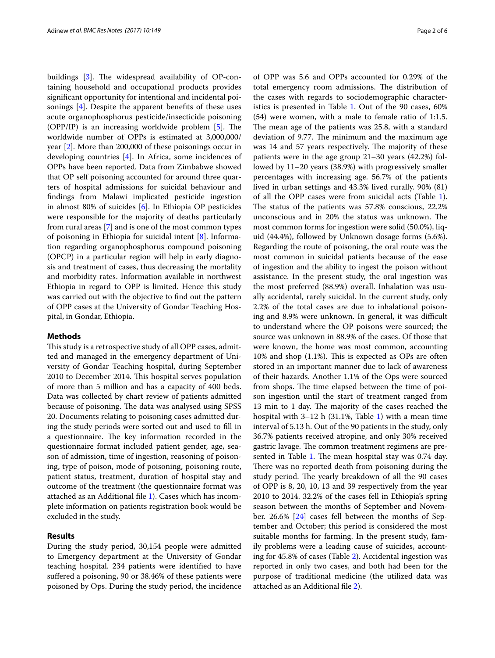buildings  $[3]$  $[3]$ . The widespread availability of OP-containing household and occupational products provides signifcant opportunity for intentional and incidental poisonings [[4\]](#page-5-3). Despite the apparent benefts of these uses acute organophosphorus pesticide/insecticide poisoning (OPP/IP) is an increasing worldwide problem  $[5]$  $[5]$ . The worldwide number of OPPs is estimated at 3,000,000/ year [[2\]](#page-5-1). More than 200,000 of these poisonings occur in developing countries [[4\]](#page-5-3). In Africa, some incidences of OPPs have been reported. Data from Zimbabwe showed that OP self poisoning accounted for around three quarters of hospital admissions for suicidal behaviour and fndings from Malawi implicated pesticide ingestion in almost 80% of suicides [[6\]](#page-5-5). In Ethiopia OP pesticides were responsible for the majority of deaths particularly from rural areas [[7\]](#page-5-6) and is one of the most common types of poisoning in Ethiopia for suicidal intent [\[8](#page-5-7)]. Information regarding organophosphorus compound poisoning (OPCP) in a particular region will help in early diagnosis and treatment of cases, thus decreasing the mortality and morbidity rates. Information available in northwest Ethiopia in regard to OPP is limited. Hence this study was carried out with the objective to fnd out the pattern of OPP cases at the University of Gondar Teaching Hospital, in Gondar, Ethiopia.

## **Methods**

This study is a retrospective study of all OPP cases, admitted and managed in the emergency department of University of Gondar Teaching hospital, during September 2010 to December 2014. This hospital serves population of more than 5 million and has a capacity of 400 beds. Data was collected by chart review of patients admitted because of poisoning. The data was analysed using SPSS 20. Documents relating to poisoning cases admitted during the study periods were sorted out and used to fll in a questionnaire. The key information recorded in the questionnaire format included patient gender, age, season of admission, time of ingestion, reasoning of poisoning, type of poison, mode of poisoning, poisoning route, patient status, treatment, duration of hospital stay and outcome of the treatment (the questionnaire format was attached as an Additional fle [1](#page-4-0)). Cases which has incomplete information on patients registration book would be excluded in the study.

## **Results**

During the study period, 30,154 people were admitted to Emergency department at the University of Gondar teaching hospital. 234 patients were identifed to have sufered a poisoning, 90 or 38.46% of these patients were poisoned by Ops. During the study period, the incidence of OPP was 5.6 and OPPs accounted for 0.29% of the total emergency room admissions. The distribution of the cases with regards to sociodemographic character-istics is presented in Table [1](#page-2-0). Out of the 90 cases, 60% (54) were women, with a male to female ratio of 1:1.5. The mean age of the patients was 25.8, with a standard deviation of 9.77. The minimum and the maximum age was 14 and 57 years respectively. The majority of these patients were in the age group 21–30 years (42.2%) followed by 11–20 years (38.9%) with progressively smaller percentages with increasing age. 56.7% of the patients lived in urban settings and 43.3% lived rurally. 90% (81) of all the OPP cases were from suicidal acts (Table [1](#page-2-0)). The status of the patients was 57.8% conscious, 22.2% unconscious and in 20% the status was unknown. The most common forms for ingestion were solid (50.0%), liquid (44.4%), followed by Unknown dosage forms (5.6%). Regarding the route of poisoning, the oral route was the most common in suicidal patients because of the ease of ingestion and the ability to ingest the poison without assistance. In the present study, the oral ingestion was the most preferred (88.9%) overall. Inhalation was usually accidental, rarely suicidal. In the current study, only 2.2% of the total cases are due to inhalational poisoning and 8.9% were unknown. In general, it was difficult to understand where the OP poisons were sourced; the source was unknown in 88.9% of the cases. Of those that were known, the home was most common, accounting  $10\%$  and shop  $(1.1\%)$ . This is expected as OPs are often stored in an important manner due to lack of awareness of their hazards. Another 1.1% of the Ops were sourced from shops. The time elapsed between the time of poison ingestion until the start of treatment ranged from 13 min to 1 day. The majority of the cases reached the hospital with 3–12 h (31.1%, Table [1](#page-2-0)) with a mean time interval of 5.13 h. Out of the 90 patients in the study, only 36.7% patients received atropine, and only 30% received gastric lavage. The common treatment regimens are pre-sented in Table [1](#page-2-0). The mean hospital stay was 0.74 day. There was no reported death from poisoning during the study period. The yearly breakdown of all the 90 cases of OPP is 8, 20, 10, 13 and 39 respectively from the year 2010 to 2014. 32.2% of the cases fell in Ethiopia's spring season between the months of September and November. 26.6% [[24](#page-5-8)] cases fell between the months of September and October; this period is considered the most suitable months for farming. In the present study, family problems were a leading cause of suicides, accounting for 45.8% of cases (Table [2\)](#page-3-0). Accidental ingestion was reported in only two cases, and both had been for the purpose of traditional medicine (the utilized data was attached as an Additional fle [2](#page-4-1)).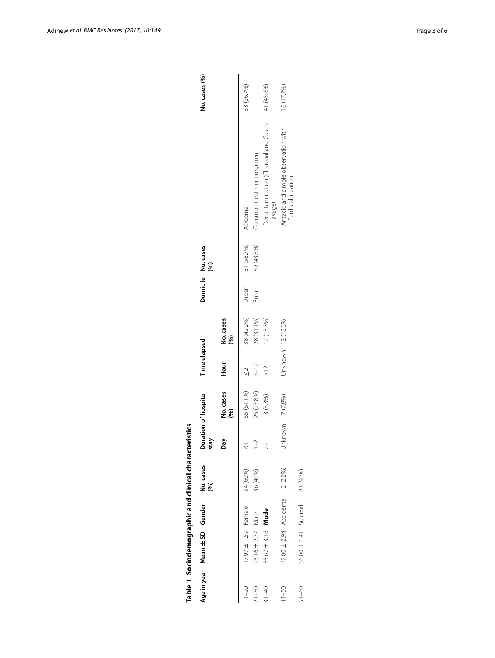|           | Age in year Mean ± SD Gender     | No. cases<br>(96) | stay             | Duration of hospital | <b>Time elapsed</b>  |                    |       | Domicile No. cases<br>(96) |                                                            | No. cases (%) |
|-----------|----------------------------------|-------------------|------------------|----------------------|----------------------|--------------------|-------|----------------------------|------------------------------------------------------------|---------------|
|           |                                  |                   | Day<br>I         | No. cases<br>(96)    | Hour                 | No. cases<br>(96)  |       |                            |                                                            |               |
| $1 - 20$  | 17.97 ± 1.59 Female              | 54 (60%)          |                  | 55 (61.1%)           | $\frac{1}{\sqrt{2}}$ | 38 (42.2%)         | Urban | 51 (56.7%)                 | Atropine                                                   | 33 (36.7%)    |
| $21 - 30$ | $25.16 \pm 2.77$ Male            | 36 (40%)          | $\sim$           | 25 (27.8%)           | $3 - 12$             | 28 (31.1%)         | Rural | 39 (43.3%)                 | Common treatment regimen                                   |               |
| $31 - 40$ | $35.67 \pm 3.16$ Mode            |                   | $\approx$        | 3 (3.3%)             | $\geq$               | $12(13.3\%)$       |       |                            | Decontamination (Charcoal and Gastric<br>lavage)           | 41 (45.6%)    |
| $41 - 50$ | 47.00 ± 2.94 Accidental 2 (2.2%) |                   | Unknown 7 (7.8%) |                      |                      | Unknown 12 (13.3%) |       |                            | Antacid and simple observation with<br>fluid stabilization | 16 (17.7%)    |
| $51 - 60$ | 56.00 ± 1.41 Suicidal            | 81 (90%)          |                  |                      |                      |                    |       |                            |                                                            |               |
|           |                                  |                   |                  |                      |                      |                    |       |                            |                                                            |               |

<span id="page-2-0"></span>

| I |
|---|
|   |
|   |
| I |
|   |
|   |
|   |
|   |
|   |
|   |
|   |
|   |
|   |
|   |
|   |
|   |
|   |
|   |
|   |
|   |
|   |
|   |
|   |
| r |
|   |
| ı |
|   |
| í |
|   |
|   |
|   |
|   |
| i |
|   |
| ı |
|   |
|   |
|   |
| ı |
|   |
|   |
|   |
|   |
|   |
|   |
|   |
|   |
|   |
|   |
|   |
|   |
|   |
|   |
| ۱ |
|   |
|   |
|   |
|   |
| ı |
|   |
|   |
|   |
|   |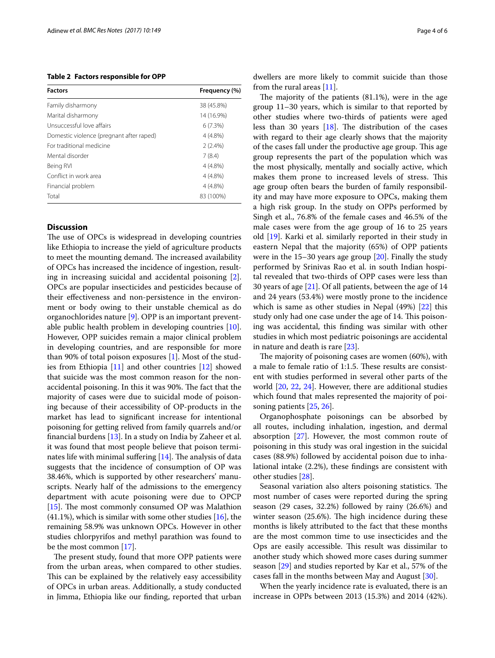<span id="page-3-0"></span>**Table 2 Factors responsible for OPP**

| <b>Factors</b>                           | Frequency (%) |
|------------------------------------------|---------------|
| Family disharmony                        | 38 (45.8%)    |
| Marital disharmony                       | 14 (16.9%)    |
| Unsuccessful love affairs                | 6(7.3%)       |
| Domestic violence (pregnant after raped) | 4 (4.8%)      |
| For traditional medicine                 | $2(2.4\%)$    |
| Mental disorder                          | 7(8.4)        |
| Being RVI                                | $4(4.8\%)$    |
| Conflict in work area                    | $4(4.8\%)$    |
| Financial problem                        | $4(4.8\%)$    |
| Total                                    | 83 (100%)     |

## **Discussion**

The use of OPCs is widespread in developing countries like Ethiopia to increase the yield of agriculture products to meet the mounting demand. The increased availability of OPCs has increased the incidence of ingestion, resulting in increasing suicidal and accidental poisoning [\[2](#page-5-1)]. OPCs are popular insecticides and pesticides because of their efectiveness and non-persistence in the environment or body owing to their unstable chemical as do organochlorides nature [\[9](#page-5-9)]. OPP is an important preventable public health problem in developing countries [\[10](#page-5-10)]. However, OPP suicides remain a major clinical problem in developing countries, and are responsible for more than 90% of total poison exposures [\[1\]](#page-5-0). Most of the studies from Ethiopia [\[11](#page-5-11)] and other countries [[12\]](#page-5-12) showed that suicide was the most common reason for the nonaccidental poisoning. In this it was 90%. The fact that the majority of cases were due to suicidal mode of poisoning because of their accessibility of OP-products in the market has lead to signifcant increase for intentional poisoning for getting relived from family quarrels and/or fnancial burdens [\[13](#page-5-13)]. In a study on India by Zaheer et al. it was found that most people believe that poison terminates life with minimal suffering  $[14]$  $[14]$ . The analysis of data suggests that the incidence of consumption of OP was 38.46%, which is supported by other researchers' manuscripts. Nearly half of the admissions to the emergency department with acute poisoning were due to OPCP [ $15$ ]. The most commonly consumed OP was Malathion  $(41.1\%)$ , which is similar with some other studies [[16\]](#page-5-16), the remaining 58.9% was unknown OPCs. However in other studies chlorpyrifos and methyl parathion was found to be the most common [[17\]](#page-5-17).

The present study, found that more OPP patients were from the urban areas, when compared to other studies. This can be explained by the relatively easy accessibility of OPCs in urban areas. Additionally, a study conducted in Jimma, Ethiopia like our fnding, reported that urban dwellers are more likely to commit suicide than those from the rural areas [\[11](#page-5-11)].

The majority of the patients  $(81.1\%)$ , were in the age group 11–30 years, which is similar to that reported by other studies where two-thirds of patients were aged less than 30 years  $[18]$ . The distribution of the cases with regard to their age clearly shows that the majority of the cases fall under the productive age group. This age group represents the part of the population which was the most physically, mentally and socially active, which makes them prone to increased levels of stress. This age group often bears the burden of family responsibility and may have more exposure to OPCs, making them a high risk group. In the study on OPPs performed by Singh et al., 76.8% of the female cases and 46.5% of the male cases were from the age group of 16 to 25 years old [\[19](#page-5-19)]. Karki et al. similarly reported in their study in eastern Nepal that the majority (65%) of OPP patients were in the 15–30 years age group [[20\]](#page-5-20). Finally the study performed by Srinivas Rao et al. in south Indian hospital revealed that two-thirds of OPP cases were less than 30 years of age [\[21\]](#page-5-21). Of all patients, between the age of 14 and 24 years (53.4%) were mostly prone to the incidence which is same as other studies in Nepal (49%) [[22\]](#page-5-22) this study only had one case under the age of 14. This poisoning was accidental, this fnding was similar with other studies in which most pediatric poisonings are accidental in nature and death is rare [\[23\]](#page-5-23).

The majority of poisoning cases are women (60%), with a male to female ratio of 1:1.5. These results are consistent with studies performed in several other parts of the world [[20,](#page-5-20) [22,](#page-5-22) [24](#page-5-8)]. However, there are additional studies which found that males represented the majority of poisoning patients [\[25](#page-5-24), [26\]](#page-5-25).

Organophosphate poisonings can be absorbed by all routes, including inhalation, ingestion, and dermal absorption [[27\]](#page-5-26). However, the most common route of poisoning in this study was oral ingestion in the suicidal cases (88.9%) followed by accidental poison due to inhalational intake (2.2%), these fndings are consistent with other studies [\[28\]](#page-5-27).

Seasonal variation also alters poisoning statistics. The most number of cases were reported during the spring season (29 cases, 32.2%) followed by rainy (26.6%) and winter season  $(25.6%)$ . The high incidence during these months is likely attributed to the fact that these months are the most common time to use insecticides and the Ops are easily accessible. This result was dissimilar to another study which showed more cases during summer season [\[29\]](#page-5-28) and studies reported by Kar et al., 57% of the cases fall in the months between May and August [[30\]](#page-5-29).

When the yearly incidence rate is evaluated, there is an increase in OPPs between 2013 (15.3%) and 2014 (42%).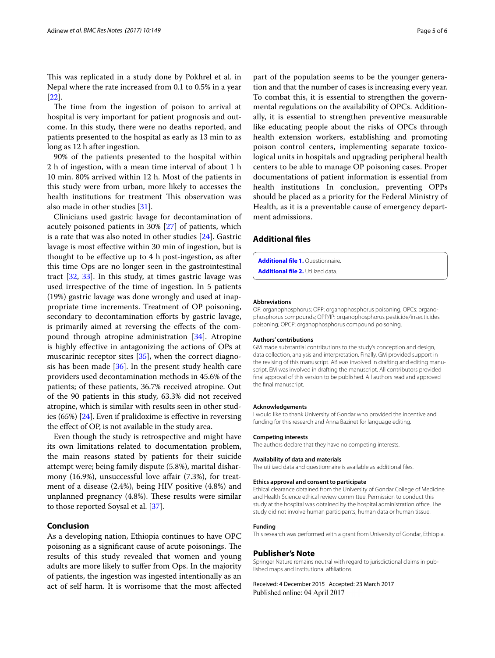This was replicated in a study done by Pokhrel et al. in Nepal where the rate increased from 0.1 to 0.5% in a year [[22\]](#page-5-22).

The time from the ingestion of poison to arrival at hospital is very important for patient prognosis and outcome. In this study, there were no deaths reported, and patients presented to the hospital as early as 13 min to as long as 12 h after ingestion.

90% of the patients presented to the hospital within 2 h of ingestion, with a mean time interval of about 1 h 10 min. 80% arrived within 12 h. Most of the patients in this study were from urban, more likely to accesses the health institutions for treatment This observation was also made in other studies [\[31](#page-5-30)].

Clinicians used gastric lavage for decontamination of acutely poisoned patients in 30% [[27\]](#page-5-26) of patients, which is a rate that was also noted in other studies [[24\]](#page-5-8). Gastric lavage is most efective within 30 min of ingestion, but is thought to be efective up to 4 h post-ingestion, as after this time Ops are no longer seen in the gastrointestinal tract [[32,](#page-5-31) [33\]](#page-5-32). In this study, at times gastric lavage was used irrespective of the time of ingestion. In 5 patients (19%) gastric lavage was done wrongly and used at inappropriate time increments. Treatment of OP poisoning, secondary to decontamination efforts by gastric lavage, is primarily aimed at reversing the efects of the compound through atropine administration [[34\]](#page-5-33). Atropine is highly efective in antagonizing the actions of OPs at muscarinic receptor sites [[35\]](#page-5-34), when the correct diagnosis has been made [\[36\]](#page-5-35). In the present study health care providers used decontamination methods in 45.6% of the patients; of these patients, 36.7% received atropine. Out of the 90 patients in this study, 63.3% did not received atropine, which is similar with results seen in other studies (65%) [[24](#page-5-8)]. Even if pralidoxime is efective in reversing the efect of OP, is not available in the study area.

Even though the study is retrospective and might have its own limitations related to documentation problem, the main reasons stated by patients for their suicide attempt were; being family dispute (5.8%), marital disharmony (16.9%), unsuccessful love affair (7.3%), for treatment of a disease (2.4%), being HIV positive (4.8%) and unplanned pregnancy (4.8%). These results were similar to those reported Soysal et al. [[37](#page-5-36)].

## **Conclusion**

As a developing nation, Ethiopia continues to have OPC poisoning as a significant cause of acute poisonings. The results of this study revealed that women and young adults are more likely to sufer from Ops. In the majority of patients, the ingestion was ingested intentionally as an act of self harm. It is worrisome that the most afected

part of the population seems to be the younger generation and that the number of cases is increasing every year. To combat this, it is essential to strengthen the governmental regulations on the availability of OPCs. Additionally, it is essential to strengthen preventive measurable like educating people about the risks of OPCs through health extension workers, establishing and promoting poison control centers, implementing separate toxicological units in hospitals and upgrading peripheral health centers to be able to manage OP poisoning cases. Proper documentations of patient information is essential from health institutions In conclusion, preventing OPPs should be placed as a priority for the Federal Ministry of Health, as it is a preventable cause of emergency department admissions.

### **Additional fles**

<span id="page-4-1"></span><span id="page-4-0"></span>**[Additional fle 1.](http://dx.doi.org/10.1186/s13104-017-2464-5)** Questionnaire.

**[Additional fle 2.](http://dx.doi.org/10.1186/s13104-017-2464-5)** Utilized data.

#### **Abbreviations**

OP: organophosphorus; OPP: organophosphorus poisoning; OPCs: organophosphorus compounds; OPP/IP: organophosphorus pesticide/insecticides poisoning; OPCP: organophosphorus compound poisoning.

#### **Authors' contributions**

GM made substantial contributions to the study's conception and design, data collection, analysis and interpretation. Finally, GM provided support in the revising of this manuscript. AB was involved in drafting and editing manuscript. EM was involved in drafting the manuscript. All contributors provided fnal approval of this version to be published. All authors read and approved the fnal manuscript.

#### **Acknowledgements**

I would like to thank University of Gondar who provided the incentive and funding for this research and Anna Bazinet for language editing.

#### **Competing interests**

The authors declare that they have no competing interests.

#### **Availability of data and materials**

The utilized data and questionnaire is available as additional fles.

#### **Ethics approval and consent to participate**

Ethical clearance obtained from the University of Gondar College of Medicine and Health Science ethical review committee. Permission to conduct this study at the hospital was obtained by the hospital administration office. The study did not involve human participants, human data or human tissue.

#### **Funding**

This research was performed with a grant from University of Gondar, Ethiopia.

#### **Publisher's Note**

Springer Nature remains neutral with regard to jurisdictional claims in published maps and institutional affiliations.

Received: 4 December 2015 Accepted: 23 March 2017 Published online: 04 April 2017